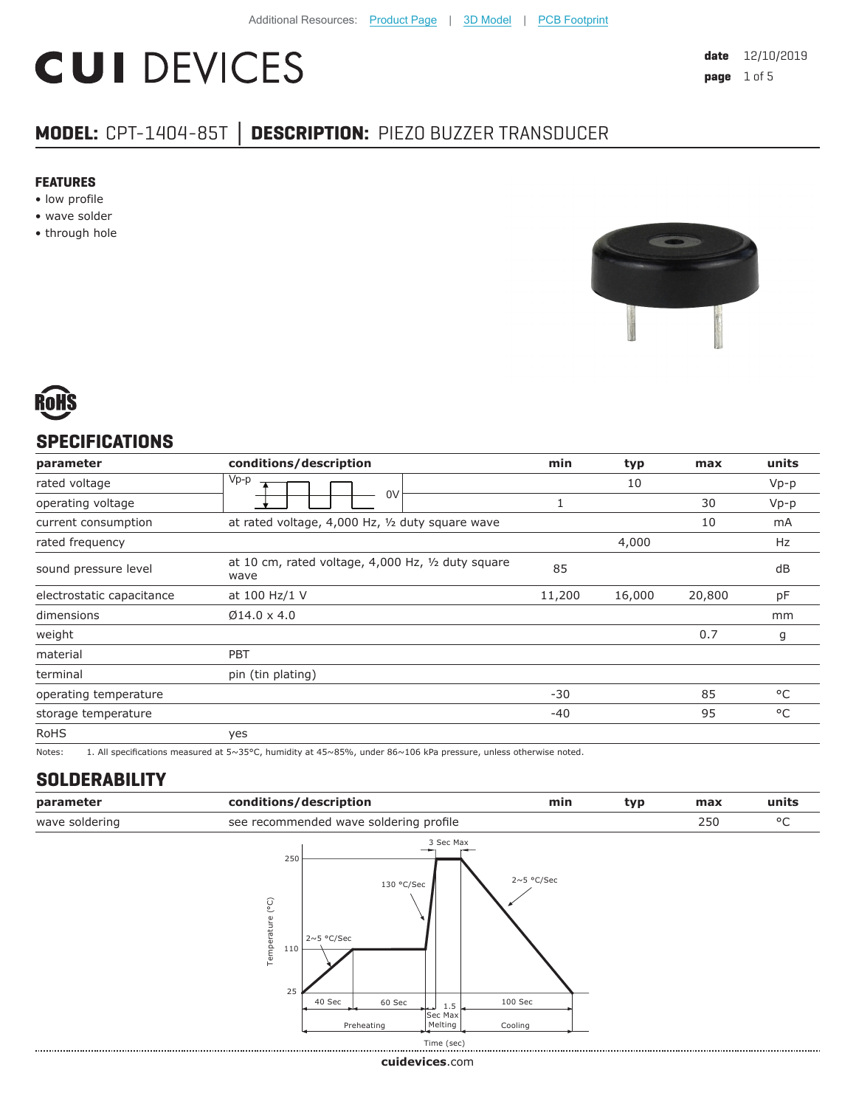# **CUI DEVICES**

**date** 12/10/2019 **page** 1 of 5

### **MODEL:** CPT-1404-85T **│ DESCRIPTION:** PIEZO BUZZER TRANSDUCER

#### **FEATURES**

- low profile
- wave solder
- through hole





#### **SPECIFICATIONS**

| parameter                 | conditions/description                                     | min    | typ    | max    | units  |
|---------------------------|------------------------------------------------------------|--------|--------|--------|--------|
| rated voltage             | $Vp-p$                                                     |        | 10     |        | $Vp-p$ |
| operating voltage         | 0 <sup>V</sup>                                             |        |        | 30     | $Vp-p$ |
| current consumption       | at rated voltage, 4,000 Hz, 1/2 duty square wave           |        |        | 10     | mA     |
| rated frequency           |                                                            |        | 4,000  |        | Hz     |
| sound pressure level      | at 10 cm, rated voltage, 4,000 Hz, 1/2 duty square<br>wave | 85     |        |        | dB     |
| electrostatic capacitance | at 100 Hz/1 V                                              | 11,200 | 16,000 | 20,800 | pF     |
| dimensions                | $Ø14.0 \times 4.0$                                         |        |        |        | mm     |
| weight                    |                                                            |        |        | 0.7    | g      |
| material                  | <b>PBT</b>                                                 |        |        |        |        |
| terminal                  | pin (tin plating)                                          |        |        |        |        |
| operating temperature     |                                                            | $-30$  |        | 85     | °C     |
| storage temperature       |                                                            | $-40$  |        | 95     | °C     |
| <b>RoHS</b>               | yes                                                        |        |        |        |        |

Notes: 1. All specifications measured at 5~35°C, humidity at 45~85%, under 86~106 kPa pressure, unless otherwise noted.

#### **SOLDERABILITY**

| parameter      | conditions/description                               |                         | min          | typ | max | units        |
|----------------|------------------------------------------------------|-------------------------|--------------|-----|-----|--------------|
| wave soldering | see recommended wave soldering profile               |                         |              |     | 250 | $^{\circ}$ C |
|                | 250<br>Temperature (°C)<br>$2~5$ °C/Sec<br>110<br>25 | 3 Sec Max<br>130 °C/Sec | $2~5$ °C/Sec |     |     |              |
|                | 40 Sec<br>60 Sec                                     | 1.5                     | 100 Sec      |     |     |              |
|                | Preheating                                           | Sec Max<br>Melting      | Cooling      |     |     |              |
|                |                                                      | Time (sec)              |              |     |     |              |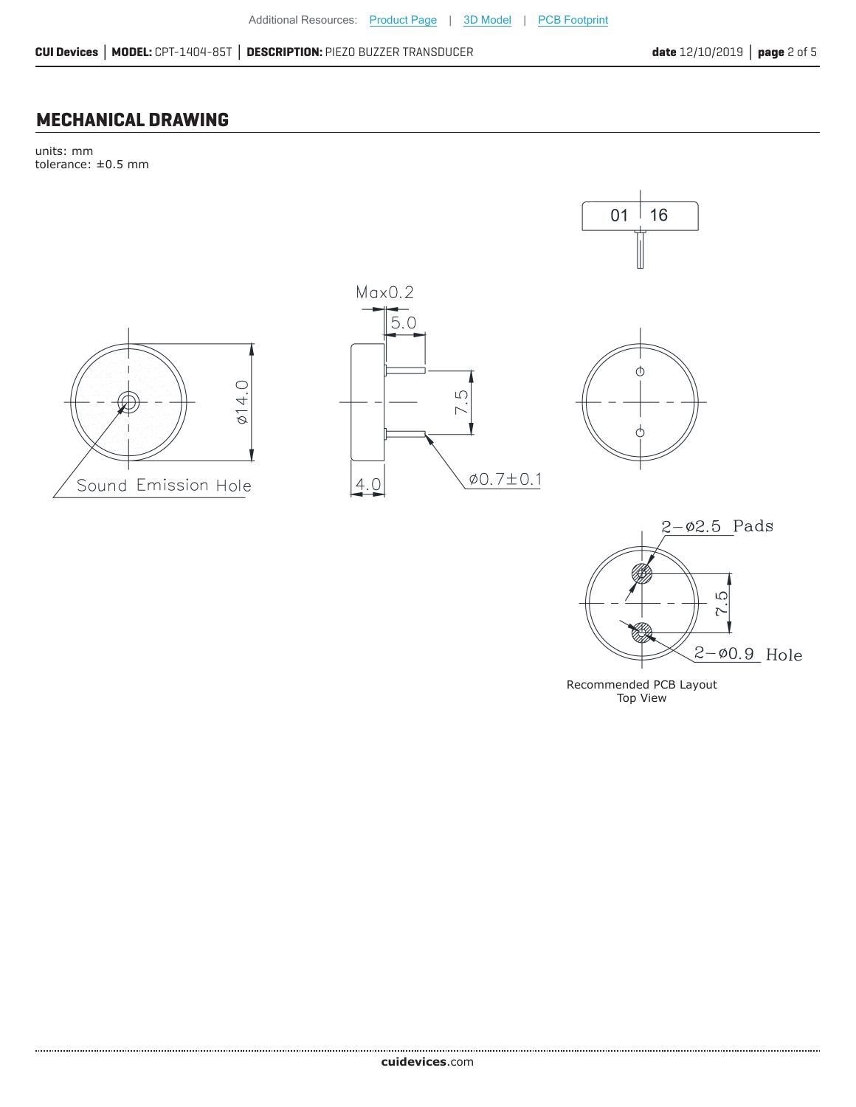#### **MECHANICAL DRAWING**

units: mm tolerance: ±0.5 mm



Recommended PCB Layout Top View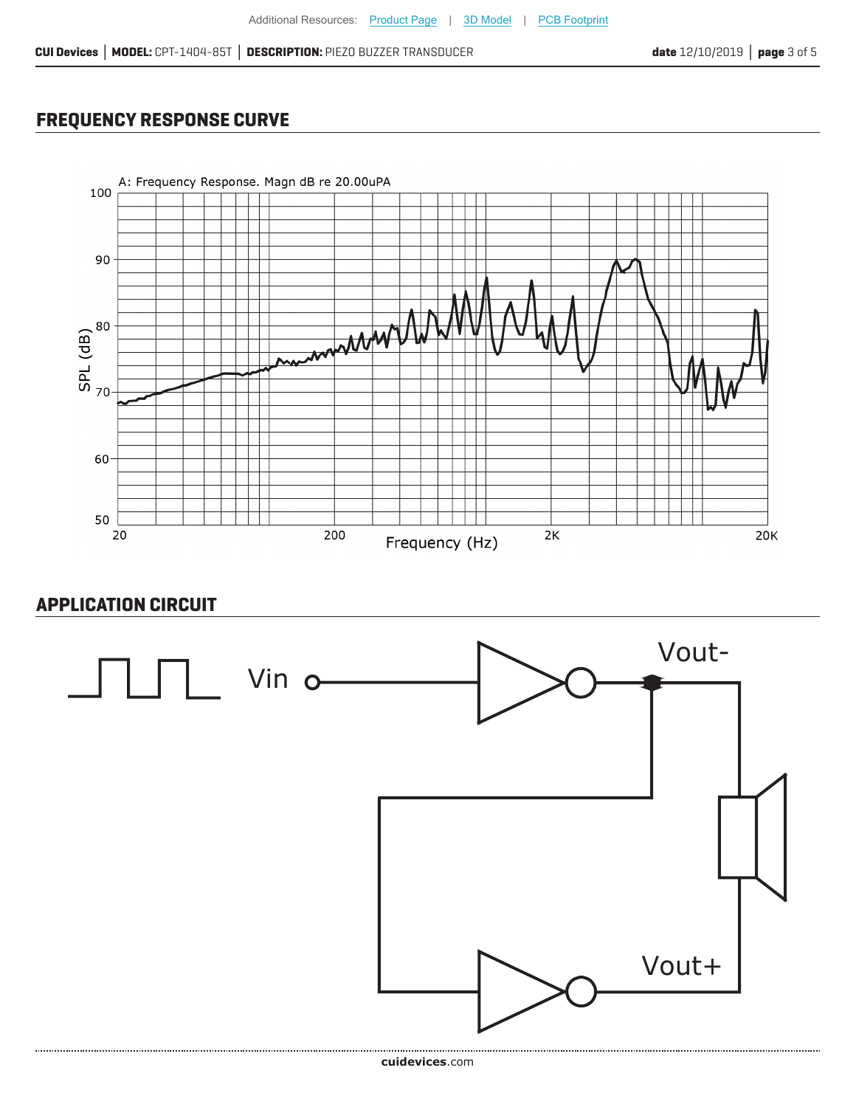#### **FREQUENCY RESPONSE CURVE**



#### **APPLICATION CIRCUIT**

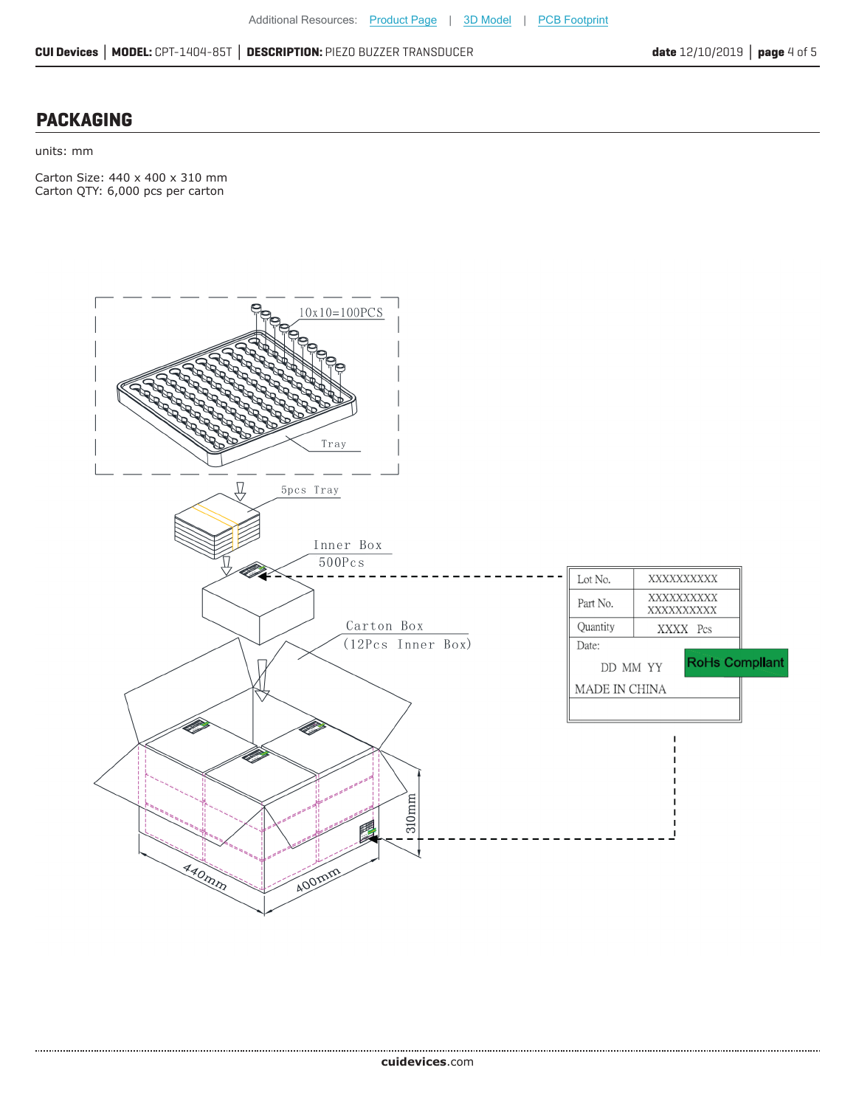#### **PACKAGING**

units: mm

Carton Size: 440 x 400 x 310 mm Carton QTY: 6,000 pcs per carton